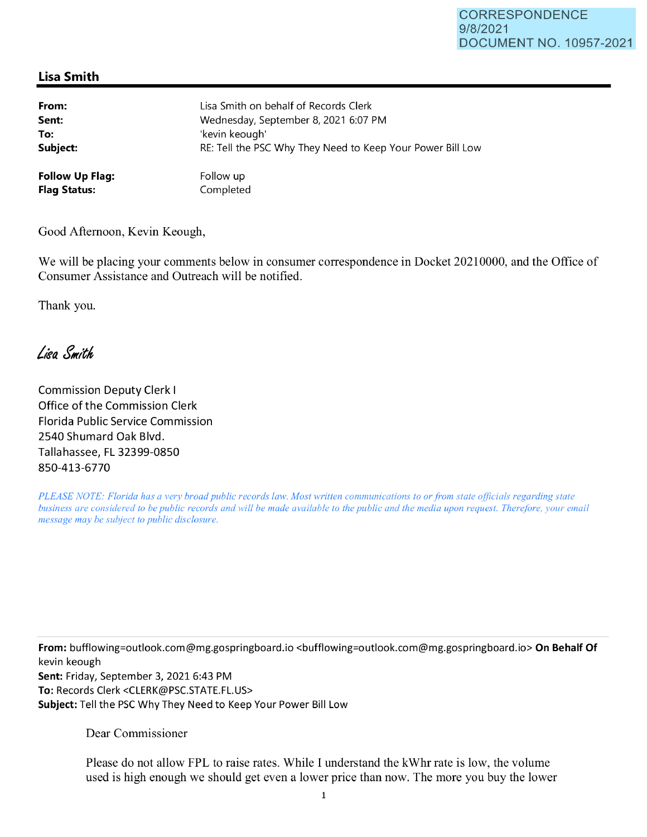## **Lisa Smith**

| From:                  | Lisa Smith on behalf of Records Clerk                      |
|------------------------|------------------------------------------------------------|
| Sent:                  | Wednesday, September 8, 2021 6:07 PM                       |
| To:                    | 'kevin keough'                                             |
| Subject:               | RE: Tell the PSC Why They Need to Keep Your Power Bill Low |
| <b>Follow Up Flag:</b> | Follow up                                                  |
| <b>Flag Status:</b>    | Completed                                                  |

Good Afternoon, Kevin Keough,

We will be placing your comments below in consumer correspondence in Docket 20210000, and the Office of Consumer Assistance and Outreach will be notified.

Thank you.

Lisa Smith

Commission Deputy Clerk I Office of the Commission Clerk Florida Public Service Commission 2540 Shumard Oak Blvd. Tallahassee, FL 32399-0850 850-413-6770

*PLEASE NOTE: Florida has a very broad public records law. Most written communications to or from state officials regarding state business are considered to be public records and will be made available to the public and the media upon request. Therefore, your email message may be subject to public disclosure.* 

**From:** bufflowing=outlook.com@mg.gospringboard.io <bufflowing=outlook.com@mg.gospringboard.io> **On Behalf Of**  kevin keough **Sent:** Friday, September 3, 2021 6:43 PM **To:** Records Clerk <CLERK@PSC.STATE.FL.US> **Subject:** Tell the PSC Why They Need to Keep Your Power Bill Low

Dear Commissioner

Please do not allow FPL to raise rates. While I understand the kWhr rate is low, the volume used is high enough we should get even a lower price than now. The more you buy the lower